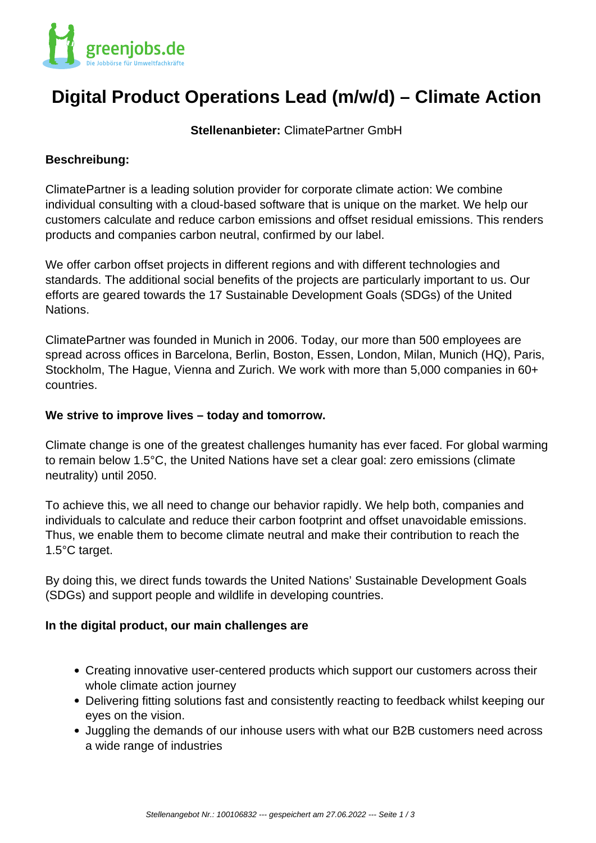

# **Digital Product Operations Lead (m/w/d) – Climate Action**

**Stellenanbieter:** ClimatePartner GmbH

### **Beschreibung:**

ClimatePartner is a leading solution provider for corporate climate action: We combine individual consulting with a cloud-based software that is unique on the market. We help our customers calculate and reduce carbon emissions and offset residual emissions. This renders products and companies carbon neutral, confirmed by our label.

We offer carbon offset projects in different regions and with different technologies and standards. The additional social benefits of the projects are particularly important to us. Our efforts are geared towards the 17 Sustainable Development Goals (SDGs) of the United Nations.

ClimatePartner was founded in Munich in 2006. Today, our more than 500 employees are spread across offices in Barcelona, Berlin, Boston, Essen, London, Milan, Munich (HQ), Paris, Stockholm, The Hague, Vienna and Zurich. We work with more than 5,000 companies in 60+ countries.

### **We strive to improve lives – today and tomorrow.**

Climate change is one of the greatest challenges humanity has ever faced. For global warming to remain below 1.5°C, the United Nations have set a clear goal: zero emissions (climate neutrality) until 2050.

To achieve this, we all need to change our behavior rapidly. We help both, companies and individuals to calculate and reduce their carbon footprint and offset unavoidable emissions. Thus, we enable them to become climate neutral and make their contribution to reach the 1.5°C target.

By doing this, we direct funds towards the United Nations' Sustainable Development Goals (SDGs) and support people and wildlife in developing countries.

### **In the digital product, our main challenges are**

- Creating innovative user-centered products which support our customers across their whole climate action journey
- Delivering fitting solutions fast and consistently reacting to feedback whilst keeping our eyes on the vision.
- Juggling the demands of our inhouse users with what our B2B customers need across a wide range of industries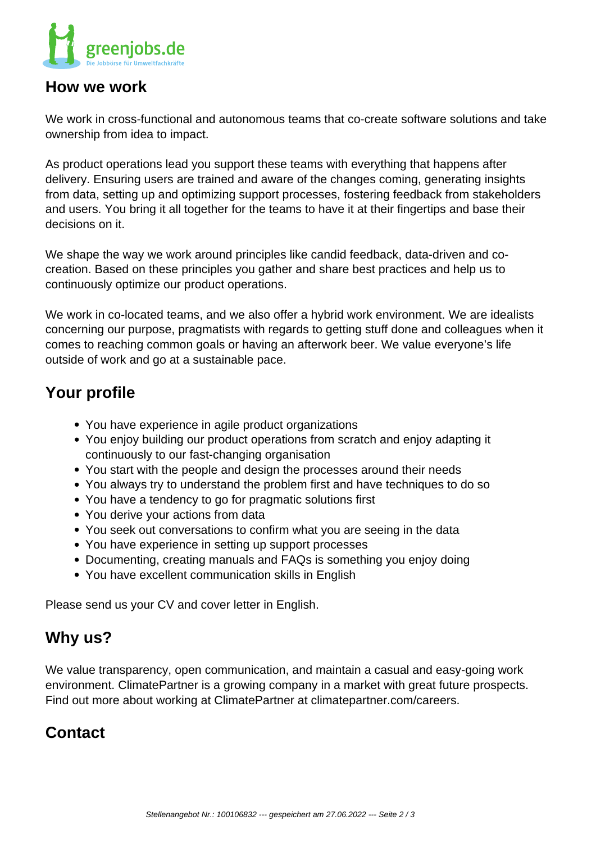

### **How we work**

We work in cross-functional and autonomous teams that co-create software solutions and take ownership from idea to impact.

As product operations lead you support these teams with everything that happens after delivery. Ensuring users are trained and aware of the changes coming, generating insights from data, setting up and optimizing support processes, fostering feedback from stakeholders and users. You bring it all together for the teams to have it at their fingertips and base their decisions on it.

We shape the way we work around principles like candid feedback, data-driven and cocreation. Based on these principles you gather and share best practices and help us to continuously optimize our product operations.

We work in co-located teams, and we also offer a hybrid work environment. We are idealists concerning our purpose, pragmatists with regards to getting stuff done and colleagues when it comes to reaching common goals or having an afterwork beer. We value everyone's life outside of work and go at a sustainable pace.

# **Your profile**

- You have experience in agile product organizations
- You enjoy building our product operations from scratch and enjoy adapting it continuously to our fast-changing organisation
- You start with the people and design the processes around their needs
- You always try to understand the problem first and have techniques to do so
- You have a tendency to go for pragmatic solutions first
- You derive your actions from data
- You seek out conversations to confirm what you are seeing in the data
- You have experience in setting up support processes
- Documenting, creating manuals and FAQs is something you enjoy doing
- You have excellent communication skills in English

Please send us your CV and cover letter in English.

# **Why us?**

We value transparency, open communication, and maintain a casual and easy-going work environment. ClimatePartner is a growing company in a market with great future prospects. Find out more about working at ClimatePartner at climatepartner.com/careers.

# **Contact**